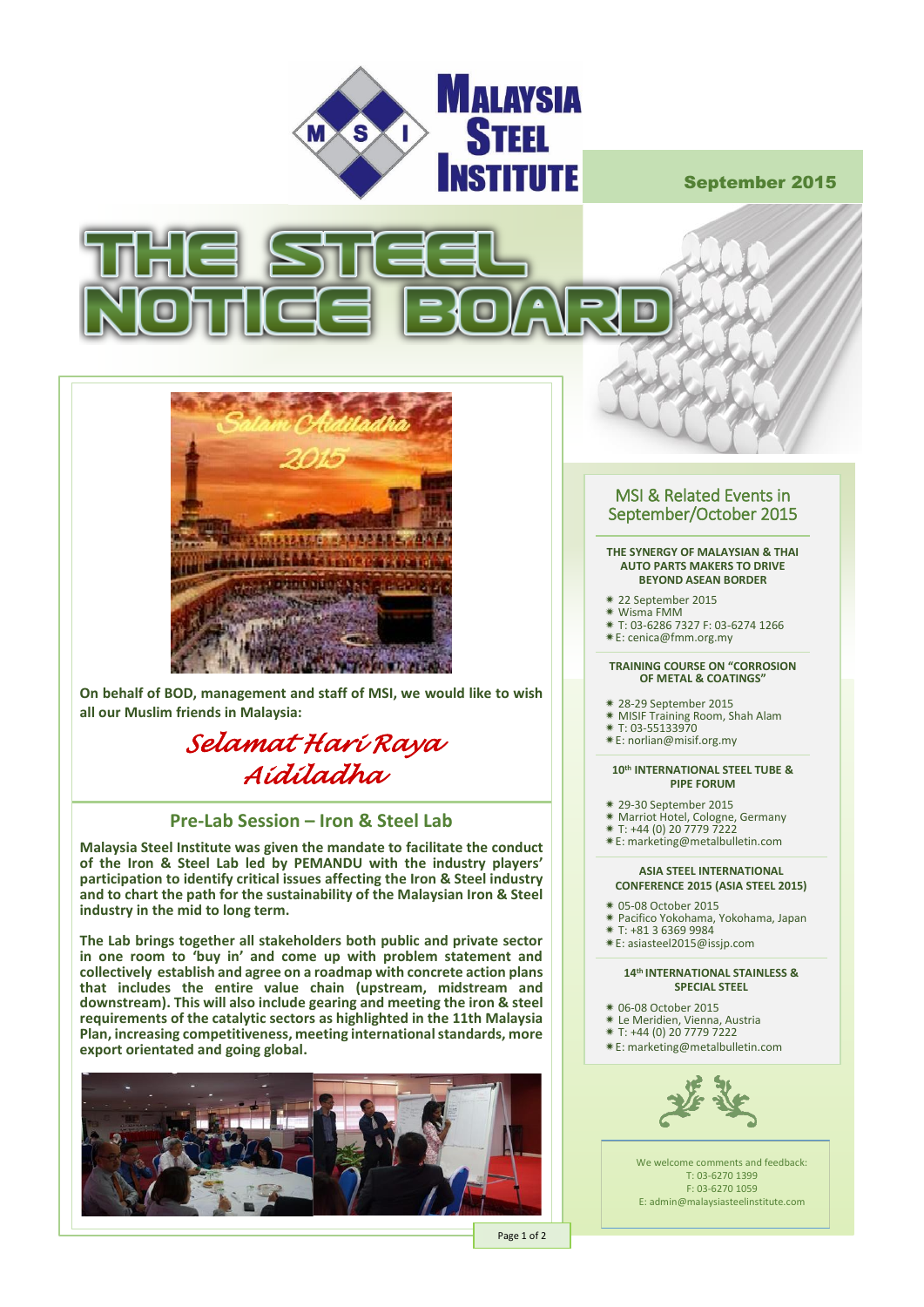

September 2015





**On behalf of BOD, management and staff of MSI, we would like to wish all our Muslim friends in Malaysia:**

# *Selamat Hari Raya Aidiladha*

## **Pre-Lab Session – Iron & Steel Lab**

**Malaysia Steel Institute was given the mandate to facilitate the conduct of the Iron & Steel Lab led by PEMANDU with the industry players' participation to identify critical issues affecting the Iron & Steel industry and to chart the path for the sustainability of the Malaysian Iron & Steel industry in the mid to long term.** 

**The Lab brings together all stakeholders both public and private sector in one room to 'buy in' and come up with problem statement and collectively establish and agree on a roadmap with concrete action plans that includes the entire value chain (upstream, midstream and downstream). This will also include gearing and meeting the iron & steel requirements of the catalytic sectors as highlighted in the 11th Malaysia Plan, increasing competitiveness, meeting international standards, more export orientated and going global.** 



## MSI & Related Events in September/October 2015

#### **THE SYNERGY OF MALAYSIAN & THAI AUTO PARTS MAKERS TO DRIVE BEYOND ASEAN BORDER**

- 22 September 2015
- Wisma FMM
- T: 03-6286 7327 F: 03-6274 1266
- **Example 2000 7027 1100 18**

#### **TRAINING COURSE ON "CORROSION OF METAL & COATINGS"**

- 28-29 September 2015
- MISIF Training Room, Shah Alam T: 03-55133970
- 
- E[: norlian@misif.org.my](mailto:marketing@metalbulletin.com)

#### **10th INTERNATIONAL STEEL TUBE & PIPE FORUM**

- 29-30 September 2015
- 
- Marriot Hotel, Cologne, Germany T: +44 (0) 20 7779 7222
- E[: marketing@](mailto:cenica@fmm.org.my)metalbulletin.com

#### **ASIA STEEL INTERNATIONAL CONFERENCE 2015 (ASIA STEEL 2015)**

- 05-08 October 2015
- Pacifico Yokohama, Yokohama, Japan
- $*$  T: +81 3 6369 9984
- E[: asiasteel2015@](mailto:cenica@fmm.org.my)issjp.com

#### **14th INTERNATIONAL STAINLESS & SPECIAL STEEL**

- 06-08 October 2015
- Le Meridien, Vienna, Austria T: +44 (0) 20 7779 7222
- 
- E[: marketing@](mailto:cenica@fmm.org.my)metalbulletin.com



We welcome comments and feedback: T: 03-6270 1399 F: 03-6270 1059 E: admin@malaysiasteelinstitute.com